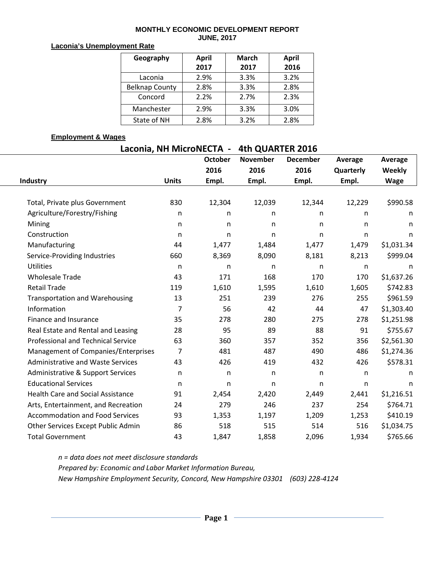#### **MONTHLY ECONOMIC DEVELOPMENT REPORT JUNE, 2017**

#### **Laconia's Unemployment Rate**

| Geography             | April | <b>March</b> | <b>April</b> |  |  |
|-----------------------|-------|--------------|--------------|--|--|
|                       | 2017  | 2017         | 2016         |  |  |
| Laconia               | 2.9%  | 3.3%         | 3.2%         |  |  |
| <b>Belknap County</b> | 2.8%  | 3.3%         | 2.8%         |  |  |
| Concord               | 2.2%  | 2.7%         | 2.3%         |  |  |
| Manchester            | 2.9%  | 3.3%         | 3.0%         |  |  |
| State of NH           | 2.8%  | 3.2%         | 2.8%         |  |  |

### **Employment & Wages**

# **Laconia, NH MicroNECTA - 4th QUARTER 2016**

|                                           |              | <b>October</b> | <b>November</b> | <b>December</b> | Average      | Average     |
|-------------------------------------------|--------------|----------------|-----------------|-----------------|--------------|-------------|
|                                           |              | 2016           | 2016            | 2016            | Quarterly    | Weekly      |
| Industry                                  | <b>Units</b> | Empl.          | Empl.           | Empl.           | Empl.        | <b>Wage</b> |
|                                           |              |                |                 |                 |              |             |
| Total, Private plus Government            | 830          | 12,304         | 12,039          | 12,344          | 12,229       | \$990.58    |
| Agriculture/Forestry/Fishing              | n.           | n              | n               | n               | n            | n           |
| Mining                                    | n            | n              | n               | n               | n            | n           |
| Construction                              | n            | n              | n               | n               | n            | n           |
| Manufacturing                             | 44           | 1,477          | 1,484           | 1,477           | 1,479        | \$1,031.34  |
| Service-Providing Industries              | 660          | 8,369          | 8,090           | 8,181           | 8,213        | \$999.04    |
| <b>Utilities</b>                          | n.           | n              | n               | n               | n            | n           |
| <b>Wholesale Trade</b>                    | 43           | 171            | 168             | 170             | 170          | \$1,637.26  |
| <b>Retail Trade</b>                       | 119          | 1,610          | 1,595           | 1,610           | 1,605        | \$742.83    |
| <b>Transportation and Warehousing</b>     | 13           | 251            | 239             | 276             | 255          | \$961.59    |
| Information                               | 7            | 56             | 42              | 44              | 47           | \$1,303.40  |
| Finance and Insurance                     | 35           | 278            | 280             | 275             | 278          | \$1,251.98  |
| Real Estate and Rental and Leasing        | 28           | 95             | 89              | 88              | 91           | \$755.67    |
| <b>Professional and Technical Service</b> | 63           | 360            | 357             | 352             | 356          | \$2,561.30  |
| Management of Companies/Enterprises       | 7            | 481            | 487             | 490             | 486          | \$1,274.36  |
| <b>Administrative and Waste Services</b>  | 43           | 426            | 419             | 432             | 426          | \$578.31    |
| Administrative & Support Services         | n            | n              | n               | n               | $\mathsf{n}$ | n           |
| <b>Educational Services</b>               | n.           | n.             | n               | n               | n            | n           |
| <b>Health Care and Social Assistance</b>  | 91           | 2,454          | 2,420           | 2,449           | 2,441        | \$1,216.51  |
| Arts, Entertainment, and Recreation       | 24           | 279            | 246             | 237             | 254          | \$764.71    |
| <b>Accommodation and Food Services</b>    | 93           | 1,353          | 1,197           | 1,209           | 1,253        | \$410.19    |
| Other Services Except Public Admin        | 86           | 518            | 515             | 514             | 516          | \$1,034.75  |
| <b>Total Government</b>                   | 43           | 1,847          | 1,858           | 2,096           | 1,934        | \$765.66    |

*n = data does not meet disclosure standards Prepared by: Economic and Labor Market Information Bureau, New Hampshire Employment Security, Concord, New Hampshire 03301 (603) 228-4124*